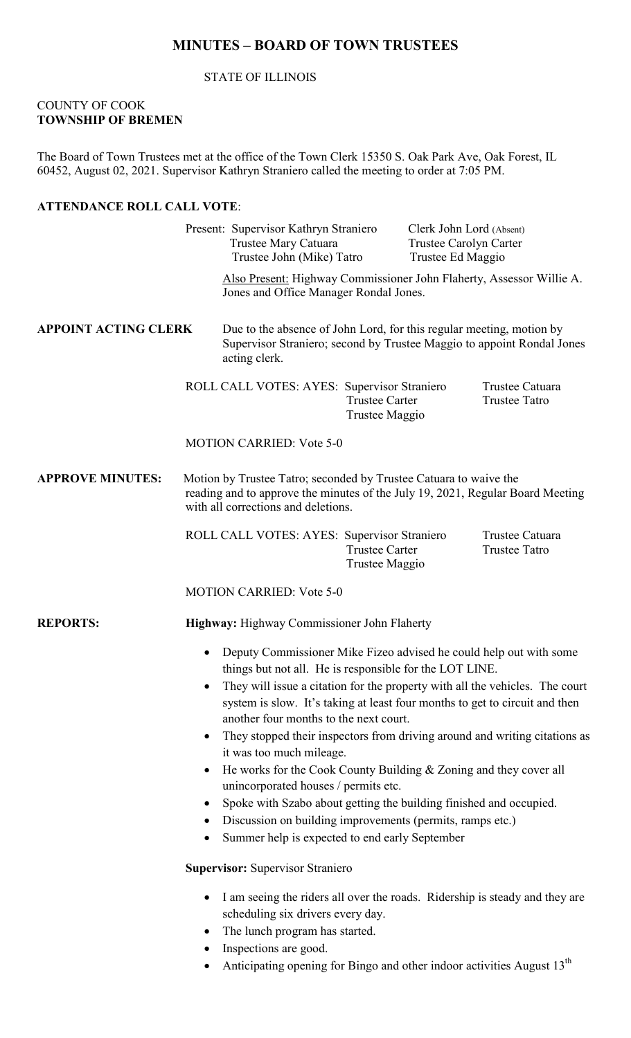# **MINUTES – BOARD OF TOWN TRUSTEES**

STATE OF ILLINOIS

#### COUNTY OF COOK **TOWNSHIP OF BREMEN**

The Board of Town Trustees met at the office of the Town Clerk 15350 S. Oak Park Ave, Oak Forest, IL 60452, August 02, 2021. Supervisor Kathryn Straniero called the meeting to order at 7:05 PM.

### **ATTENDANCE ROLL CALL VOTE**:

Present: Supervisor Kathryn Straniero Clerk John Lord (Absent) Trustee Mary Catuara Trustee Carolyn Carter Trustee John (Mike) Tatro Trustee Ed Maggio Also Present: Highway Commissioner John Flaherty, Assessor Willie A. Jones and Office Manager Rondal Jones. **APPOINT ACTING CLERK** Due to the absence of John Lord, for this regular meeting, motion by Supervisor Straniero; second by Trustee Maggio to appoint Rondal Jones acting clerk. ROLL CALL VOTES: AYES: Supervisor Straniero Trustee Catuara<br>Trustee Carter Trustee Tatro Trustee Carter Trustee Maggio MOTION CARRIED: Vote 5-0 **APPROVE MINUTES:** Motion by Trustee Tatro; seconded by Trustee Catuara to waive the reading and to approve the minutes of the July 19, 2021, Regular Board Meeting with all corrections and deletions. ROLL CALL VOTES: AYES: Supervisor Straniero Trustee Catuara Trustee Carter Trustee Tatro Trustee Maggio MOTION CARRIED: Vote 5-0 **REPORTS: Highway:** Highway Commissioner John Flaherty • Deputy Commissioner Mike Fizeo advised he could help out with some things but not all. He is responsible for the LOT LINE. • They will issue a citation for the property with all the vehicles. The court system is slow. It's taking at least four months to get to circuit and then another four months to the next court. • They stopped their inspectors from driving around and writing citations as it was too much mileage. • He works for the Cook County Building & Zoning and they cover all unincorporated houses / permits etc. • Spoke with Szabo about getting the building finished and occupied. • Discussion on building improvements (permits, ramps etc.) • Summer help is expected to end early September **Supervisor:** Supervisor Straniero • I am seeing the riders all over the roads. Ridership is steady and they are scheduling six drivers every day. • The lunch program has started. Inspections are good.

Anticipating opening for Bingo and other indoor activities August  $13<sup>th</sup>$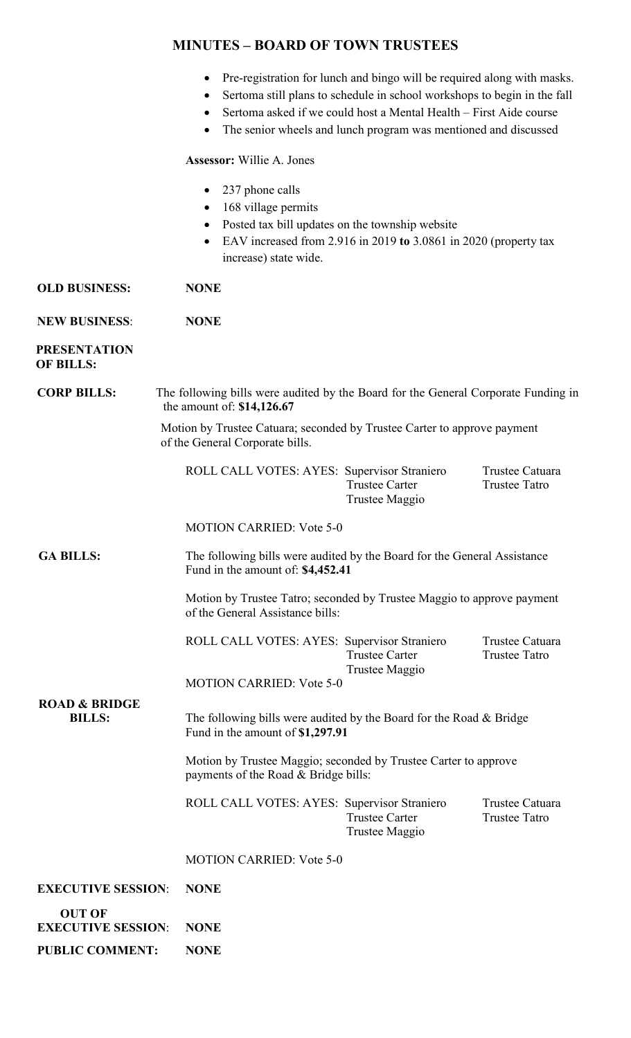### **MINUTES – BOARD OF TOWN TRUSTEES**

|  |  |  |  |  | Pre-registration for lunch and bingo will be required along with masks. |
|--|--|--|--|--|-------------------------------------------------------------------------|
|--|--|--|--|--|-------------------------------------------------------------------------|

- Sertoma still plans to schedule in school workshops to begin in the fall
- Sertoma asked if we could host a Mental Health First Aide course
- The senior wheels and lunch program was mentioned and discussed

**Assessor:** Willie A. Jones

- 237 phone calls
- 168 village permits
- Posted tax bill updates on the township website
- EAV increased from 2.916 in 2019 **to** 3.0861 in 2020 (property tax increase) state wide.
- **OLD BUSINESS: NONE**

**NEW BUSINESS**: **NONE**

#### **PRESENTATION OF BILLS:**

**CORP BILLS:** The following bills were audited by the Board for the General Corporate Funding in the amount of: **\$14,126.67**

> Motion by Trustee Catuara; seconded by Trustee Carter to approve payment of the General Corporate bills.

| ROLL CALL VOTES: AYES: Supervisor Straniero |                | Trustee Catuara |
|---------------------------------------------|----------------|-----------------|
|                                             | Trustee Carter | Trustee Tatro   |
|                                             | Trustee Maggio |                 |

MOTION CARRIED: Vote 5-0

 **GA BILLS:** The following bills were audited by the Board for the General Assistance Fund in the amount of: **\$4,452.41**

> Motion by Trustee Tatro; seconded by Trustee Maggio to approve payment of the General Assistance bills:

|                | Trustee Catuara                             |
|----------------|---------------------------------------------|
| Trustee Carter | Trustee Tatro                               |
| Trustee Maggio |                                             |
|                | ROLL CALL VOTES: AYES: Supervisor Straniero |

MOTION CARRIED: Vote 5-0

 **ROAD & BRIDGE**

The following bills were audited by the Board for the Road & Bridge Fund in the amount of **\$1,297.91**

> Motion by Trustee Maggio; seconded by Trustee Carter to approve payments of the Road & Bridge bills:

ROLL CALL VOTES: AYES: Supervisor Straniero Trustee Catuara<br>Trustee Carter Trustee Tatro Trustee Carter Trustee Maggio

MOTION CARRIED: Vote 5-0

# **EXECUTIVE SESSION**: **NONE**

| OUT OF                         |             |
|--------------------------------|-------------|
| <b>EXECUTIVE SESSION: NONE</b> |             |
| <b>PUBLIC COMMENT:</b>         | <b>NONE</b> |